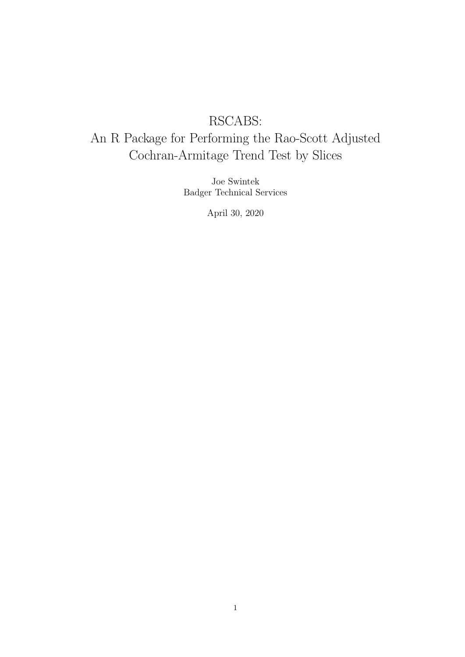# RSCABS:

# An R Package for Performing the Rao-Scott Adjusted Cochran-Armitage Trend Test by Slices

Joe Swintek Badger Technical Services

April 30, 2020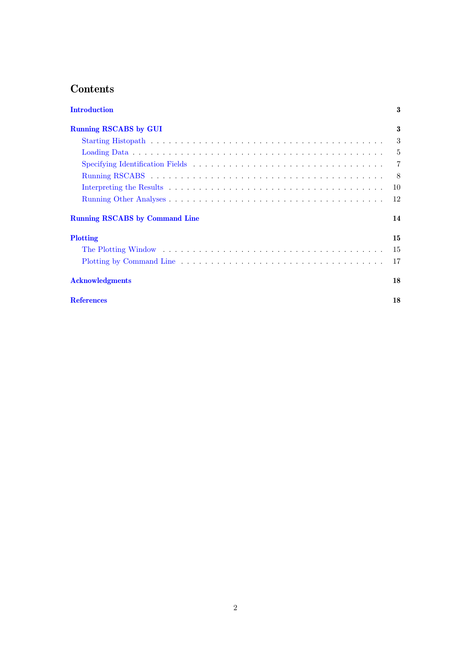# Contents

| <b>Introduction</b>                   | 3              |
|---------------------------------------|----------------|
| <b>Running RSCABS by GUI</b>          | 3              |
|                                       | 3              |
|                                       | $-5$           |
|                                       | $\overline{7}$ |
|                                       | -8             |
|                                       | 10             |
|                                       | 12             |
| <b>Running RSCABS</b> by Command Line | 14             |
| <b>Plotting</b>                       | 15             |
|                                       | 15             |
|                                       | 17             |
| <b>Acknowledgments</b>                | 18             |
| <b>References</b>                     | 18             |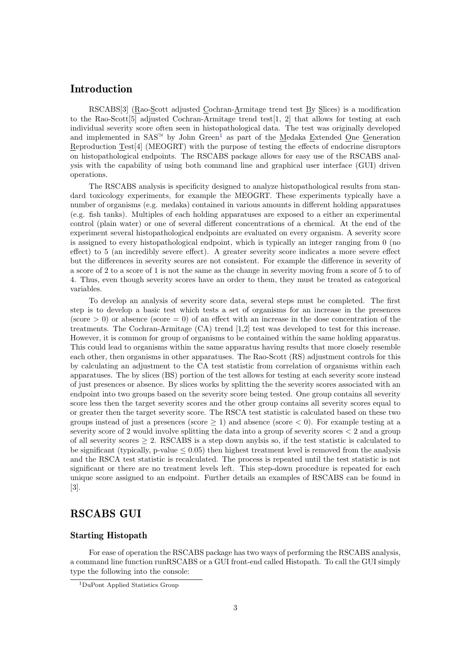## <span id="page-2-0"></span>Introduction

RSCABS[3] (Rao-Scott adjusted Cochran-Armitage trend test By Slices) is a modification to the Rao-Scott<sup>[5]</sup> adjusted Cochran-Armitage trend test<sup>[1</sup>, 2] that allows for testing at each individual severity score often seen in histopathological data. The test was originally developed and implemented in SAS<sup> $M$ </sup> by John Green<sup>[1](#page-2-3)</sup> as part of the Medaka Extended One Generation Reproduction Test[4] (MEOGRT) with the purpose of testing the effects of endocrine disruptors on histopathological endpoints. The RSCABS package allows for easy use of the RSCABS analysis with the capability of using both command line and graphical user interface (GUI) driven operations.

The RSCABS analysis is specificity designed to analyze histopathological results from standard toxicology experiments, for example the MEOGRT. These experiments typically have a number of organisms (e.g. medaka) contained in various amounts in different holding apparatuses (e.g. fish tanks). Multiples of each holding apparatuses are exposed to a either an experimental control (plain water) or one of several different concentrations of a chemical. At the end of the experiment several histopathological endpoints are evaluated on every organism. A severity score is assigned to every histopathological endpoint, which is typically an integer ranging from 0 (no effect) to 5 (an incredibly severe effect). A greater severity score indicates a more severe effect but the differences in severity scores are not consistent. For example the difference in severity of a score of 2 to a score of 1 is not the same as the change in severity moving from a score of 5 to of 4. Thus, even though severity scores have an order to them, they must be treated as categorical variables.

To develop an analysis of severity score data, several steps must be completed. The first step is to develop a basic test which tests a set of organisms for an increase in the presences (score  $> 0$ ) or absence (score  $= 0$ ) of an effect with an increase in the dose concentration of the treatments. The Cochran-Armitage (CA) trend [1,2] test was developed to test for this increase. However, it is common for group of organisms to be contained within the same holding apparatus. This could lead to organisms within the same apparatus having results that more closely resemble each other, then organisms in other apparatuses. The Rao-Scott (RS) adjustment controls for this by calculating an adjustment to the CA test statistic from correlation of organisms within each apparatuses. The by slices (BS) portion of the test allows for testing at each severity score instead of just presences or absence. By slices works by splitting the the severity scores associated with an endpoint into two groups based on the severity score being tested. One group contains all severity score less then the target severity scores and the other group contains all severity scores equal to or greater then the target severity score. The RSCA test statistic is calculated based on these two groups instead of just a presences (score  $\geq 1$ ) and absence (score  $\lt 0$ ). For example testing at a severity score of 2 would involve splitting the data into a group of severity scores < 2 and a group of all severity scores  $\geq 2$ . RSCABS is a step down anylsis so, if the test statistic is calculated to be significant (typically, p-value  $\leq 0.05$ ) then highest treatment level is removed from the analysis and the RSCA test statistic is recalculated. The process is repeated until the test statistic is not significant or there are no treatment levels left. This step-down procedure is repeated for each unique score assigned to an endpoint. Further details an examples of RSCABS can be found in [3].

# <span id="page-2-1"></span>RSCABS GUI

#### <span id="page-2-2"></span>Starting Histopath

For ease of operation the RSCABS package has two ways of performing the RSCABS analysis, a command line function runRSCABS or a GUI front-end called Histopath. To call the GUI simply type the following into the console:

<span id="page-2-3"></span><sup>1</sup>DuPont Applied Statistics Group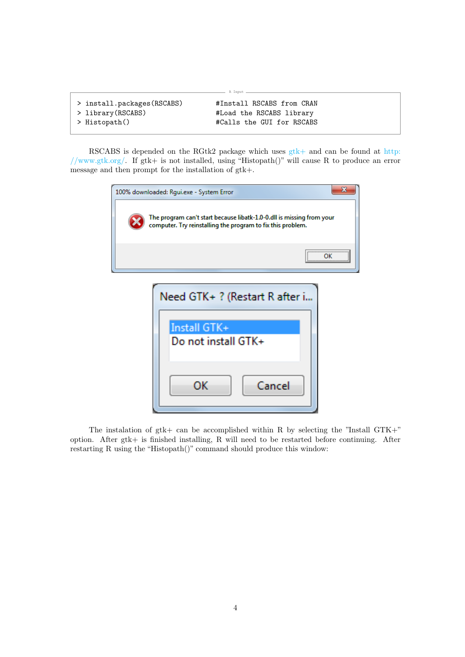| > install.packages(RSCABS) | #Install RSCABS from CRAN |
|----------------------------|---------------------------|
| > library(RSCABS)          | #Load the RSCABS library  |
| > Histopath()              | #Calls the GUI for RSCABS |

RSCABS is depended on the RGtk2 package which uses  $gtk+$  and can be found at [http:](http://www.gtk.org/) [//www.gtk.org/.](http://www.gtk.org/) If gtk+ is not installed, using "Histopath()" will cause R to produce an error message and then prompt for the installation of gtk+.

R Input

| 100% downloaded: Rgui.exe - System Error                                                                                             | x |
|--------------------------------------------------------------------------------------------------------------------------------------|---|
| The program can't start because libatk-1.0-0.dll is missing from your<br>computer. Try reinstalling the program to fix this problem. |   |
|                                                                                                                                      |   |
| Need GTK+ ? (Restart R after i<br>Install GTK+<br>Do not install GTK+<br>Cancel<br>OК                                                |   |

The instalation of gtk+ can be accomplished within R by selecting the "Install GTK+" option. After gtk+ is finished installing, R will need to be restarted before continuing. After restarting R using the "Histopath()" command should produce this window: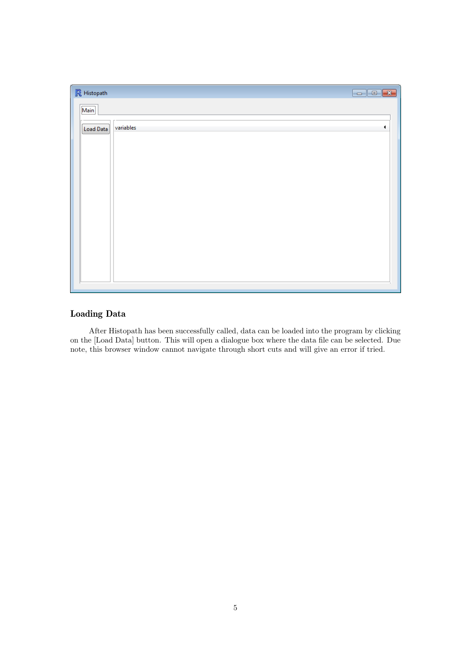| $\mathbb R$ Histopath |           | $\overline{\mathbf{x}}$<br>$\Box$ e |
|-----------------------|-----------|-------------------------------------|
| $\boxed{\text{Main}}$ |           |                                     |
| Load Data             | variables |                                     |
|                       |           |                                     |
|                       |           |                                     |
|                       |           |                                     |
|                       |           |                                     |
|                       |           |                                     |
|                       |           |                                     |
|                       |           |                                     |
|                       |           |                                     |
|                       |           |                                     |

# <span id="page-4-0"></span>Loading Data

After Histopath has been successfully called, data can be loaded into the program by clicking on the [Load Data] button. This will open a dialogue box where the data file can be selected. Due note, this browser window cannot navigate through short cuts and will give an error if tried.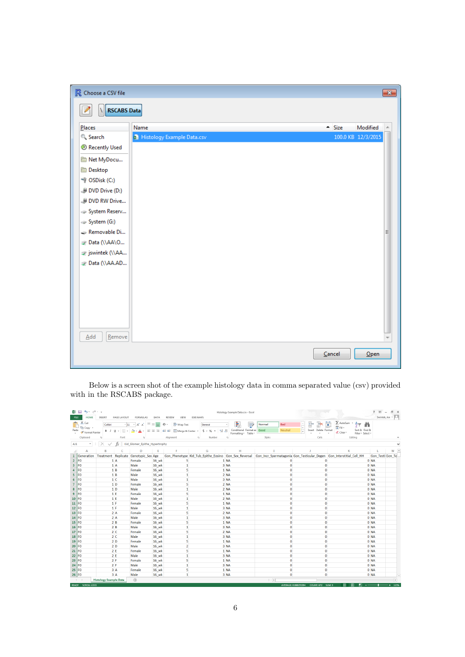| R Choose a CSV file |                                     |                    | $\mathbf{x}$ |
|---------------------|-------------------------------------|--------------------|--------------|
| <b>RSCABS Data</b>  |                                     |                    |              |
| Places              | Name<br>$-$ Size                    | Modified           |              |
| Search              | <b>B</b> Histology Example Data.csv | 100.0 KB 12/3/2015 |              |
| Recently Used       |                                     |                    |              |
| Net MyDocu          |                                     |                    |              |
| <b>Desktop</b>      |                                     |                    |              |
| C:) OSDisk (C:)     |                                     |                    |              |
| DVD Drive (D:)      |                                     |                    |              |
| DVD RW Drive        |                                     |                    |              |
| System Reserv       |                                     |                    |              |
| System (G:)         |                                     |                    |              |
| Removable Di        |                                     |                    | Ξ            |
| Data (\\AA\O        |                                     |                    |              |
| y jswintek (\\AA    |                                     |                    |              |
| Data (\\AA.AD       |                                     |                    |              |
|                     |                                     |                    |              |
|                     |                                     |                    |              |
|                     |                                     |                    |              |
|                     |                                     |                    |              |
|                     |                                     |                    |              |
|                     |                                     |                    |              |
| Remove<br>Add       |                                     |                    |              |
|                     | Cancel                              | $O$ pen            |              |
|                     |                                     |                    |              |

Below is a screen shot of the example histology data in comma separated value (csv) provided with in the RSCABS package.

<span id="page-5-0"></span>

| <b>FILE</b>    | 难日<br>$5 - 0 - 0$<br><b>HOME</b>          | INSERT                                | PAGE LAYOUT            | FORMULAS                                         | DATA                          | VIEW<br><b>ESRI MAPS</b><br>REVIEW                            |                                                            | Histology Example Data.csv - Excel                    |                                         |                                                               |                                                                                                                                | 图<br>$\mathcal{P}$<br>a x<br>$\sim$<br>Swintek, Joe - |
|----------------|-------------------------------------------|---------------------------------------|------------------------|--------------------------------------------------|-------------------------------|---------------------------------------------------------------|------------------------------------------------------------|-------------------------------------------------------|-----------------------------------------|---------------------------------------------------------------|--------------------------------------------------------------------------------------------------------------------------------|-------------------------------------------------------|
| ÷<br>Paste     | X Cut<br>ш<br>En Copy -<br>Format Painter | Calibri<br><b>B</b> <i>I</i> U +      | $-11$<br><b>FB + 1</b> | $\overline{A} \overline{A}$<br>ੈ<br>$\mathbb{A}$ | $\equiv$<br>$\equiv$<br>事事者   | Wrap Text<br>$\frac{1}{2}$ .<br><b>任</b> 王 国 Merge & Center ▼ | General<br>$\frac{4.0}{30}$ $\frac{00}{4.0}$<br>$$ + 96 +$ | 髜<br>Conditional Format as<br>Formatting -<br>Table - | Bad<br>Normal<br>Good<br><b>Neutral</b> | $\mathbb{R}$<br>F<br>$\frac{1}{4}$<br>Delete Format<br>Insert | $\sum$ AutoSum $\rightarrow$<br>ij<br>$\frac{A}{2}$<br>$\overline{\Psi}$ Fill<br>Sort & Find &<br>Clear -<br>Filter - Select - |                                                       |
|                | Clipboard                                 | G.                                    | Font                   | fü.                                              |                               | Alignment<br>G.                                               | Number                                                     | G.                                                    | Styles                                  | Cells                                                         | Editing                                                                                                                        | ۸                                                     |
| AJ1            | $\tau$                                    |                                       | fx.                    |                                                  | Kid Glomer Epithe Hypertrophy |                                                               |                                                            |                                                       |                                         |                                                               |                                                                                                                                |                                                       |
|                |                                           |                                       |                        |                                                  |                               |                                                               |                                                            |                                                       |                                         |                                                               |                                                                                                                                |                                                       |
| z1             | $\overline{A}$                            | в                                     | C                      | D                                                | Ε                             | F.                                                            | G                                                          | H                                                     | T.                                      | <b>J</b>                                                      | K                                                                                                                              | $\overline{a}$<br>м<br>п                              |
| $\mathbf 1$    | Generation                                | Treatment Replicate Genotypic Sex Age |                        |                                                  |                               |                                                               |                                                            |                                                       |                                         |                                                               | Gon Phenotype Kid Tub Epithe Eosino Gon Sex Reversal Gon Incr Spermatagonia Gon Testicular Degen Gon Interstitial Cell HH      | Gon Testi Gon Te                                      |
| $\overline{2}$ | FO                                        |                                       | 1A                     | Female                                           | 16_wk                         | 5                                                             |                                                            | 1 NA                                                  | Ō                                       | $\Omega$                                                      | 0 NA                                                                                                                           |                                                       |
| $\mathbf{3}$   | F <sub>0</sub>                            |                                       | 1A                     | Male                                             | 16 wk                         | 1                                                             |                                                            | 3 NA                                                  | $\mathbf 0$                             | $\Omega$                                                      | 0 NA                                                                                                                           |                                                       |
| $\overline{4}$ | FO                                        |                                       | 1B                     | Female                                           | 16 wk                         | 5                                                             |                                                            | $1$ NA                                                | $\bf{0}$                                | $\Omega$                                                      | 0 NA                                                                                                                           |                                                       |
| 5 <sup>1</sup> | l FO                                      |                                       | 1B                     | Male                                             | 16 wk                         | $\mathbf{1}$                                                  |                                                            | 2 NA                                                  | $\circ$                                 | $\Omega$                                                      | 0 NA                                                                                                                           |                                                       |
| 6              | FO                                        |                                       | 1 <sup>c</sup>         | Male                                             | <b>16 wk</b>                  | $\mathbf{1}$                                                  |                                                            | 3 NA                                                  | $\mathbf 0$                             | $\Omega$                                                      | 0 NA                                                                                                                           |                                                       |
| $7\phantom{.}$ | FO                                        |                                       | 1 <sub>D</sub>         | Female                                           | <b>16 wk</b>                  | 5                                                             |                                                            | $2$ NA                                                | $\mathbf 0$                             | $\Omega$                                                      | 0 NA                                                                                                                           |                                                       |
| 8              | FO                                        |                                       | 1 <sub>D</sub>         | Male                                             | 16 wk                         | $\mathbf{1}$                                                  |                                                            | $2$ NA                                                | $\bf{0}$                                | $\Omega$                                                      | 0 NA                                                                                                                           |                                                       |
| 9              | <b>FO</b>                                 |                                       | 1F                     | Female                                           | 16 wk                         | 5                                                             |                                                            | $1$ NA                                                | $\mathbf 0$                             | $\Omega$                                                      | 0 NA                                                                                                                           |                                                       |
| $10$ FO        |                                           | 1E                                    |                        | Male                                             | 16 wk                         | $\mathbf{1}$                                                  |                                                            | $2$ NA                                                | $\mathbf 0$                             | $\bullet$                                                     | 0 NA                                                                                                                           |                                                       |
| $11$ FO        |                                           |                                       | 1 F                    | Female                                           | 16_wk                         | 5                                                             |                                                            | $1$ NA                                                | $\mathbf 0$                             | $\mathbf 0$                                                   | 0 NA                                                                                                                           |                                                       |
| $12$ FO        |                                           |                                       | 1 F                    | Male                                             | 16 wk                         | $\mathbf{1}$                                                  |                                                            | 3 NA                                                  | $\mathbf 0$                             | $\mathbf{0}$                                                  | 0 NA                                                                                                                           |                                                       |
| $13$ FO        |                                           |                                       | 2A                     | Female                                           | 16 wk                         | 5                                                             |                                                            | $2$ NA                                                | $\mathbf 0$                             | $\mathbf 0$                                                   | 0 NA                                                                                                                           |                                                       |
| 14 FO          |                                           |                                       | 2A                     | Male                                             | <b>16 wk</b>                  | 1                                                             |                                                            | 3 NA                                                  | $\mathbf 0$                             | $\bullet$                                                     | 0 NA                                                                                                                           |                                                       |
| $15$ FO        |                                           |                                       | 2B                     | Female                                           | 16 wk                         | 5                                                             |                                                            | 1 <sub>NA</sub>                                       | $\mathbf 0$                             | $\mathbf{0}$                                                  | 0 <sub>NA</sub>                                                                                                                |                                                       |
| $16$ FO        |                                           |                                       | 2B                     | Male                                             | 16 wk                         | $\mathbf{1}$                                                  |                                                            | 3 NA                                                  | 0                                       | $\mathbf{0}$                                                  | 0 NA                                                                                                                           |                                                       |
| 17 FO          |                                           |                                       | 2 <sub>c</sub>         | Female                                           | 16_wk                         | 5                                                             |                                                            | 2 NA                                                  | $\circ$                                 | $\mathbf 0$                                                   | 0 NA                                                                                                                           |                                                       |
| 18             | l FO                                      |                                       | 2 <sub>c</sub>         | Male                                             | 16 wk                         | $\mathbf{1}$                                                  |                                                            | 3 NA                                                  | $\mathbf 0$                             | $\Omega$                                                      | 0 NA                                                                                                                           |                                                       |
| 19             | FO                                        |                                       | 2D                     | Female                                           | 16 wk                         | 5                                                             |                                                            | 1 <sub>NA</sub>                                       | $\mathbf 0$                             | $\mathbf{0}$                                                  | 0 NA                                                                                                                           |                                                       |
| 20             | F <sub>0</sub>                            |                                       | 2D                     | Male                                             | 16 wk                         | $\overline{2}$                                                |                                                            | 3 NA                                                  | 0                                       | $\bf{0}$                                                      | 0 NA                                                                                                                           |                                                       |
| 21             | FO                                        |                                       | 2E                     | Female                                           | 16 wk                         | 5                                                             |                                                            | 1 <sub>NA</sub>                                       | $\mathbf 0$                             | $\Omega$                                                      | 0 NA                                                                                                                           |                                                       |
| 22             | F <sub>0</sub>                            |                                       | 2E                     | Male                                             | 16_wk                         | $\mathbf{1}$                                                  |                                                            | 3 NA                                                  | $\mathbf 0$                             | $\Omega$                                                      | 0 NA                                                                                                                           |                                                       |
| 23             | F <sub>0</sub>                            |                                       | 2F                     | Female                                           | 16 wk                         | 5                                                             |                                                            | $1$ NA                                                | $\mathbf 0$                             | $\Omega$                                                      | 0 NA                                                                                                                           |                                                       |
| 24             | F <sub>0</sub>                            |                                       | 2F                     | Male                                             | 16 wk                         | $\mathbf{1}$                                                  |                                                            | 3 NA                                                  | $\mathbf 0$                             | $\Omega$                                                      | 0 NA                                                                                                                           |                                                       |
| 25             | <b>FO</b>                                 |                                       | 3A                     | Female                                           | 16 wk                         | 5                                                             |                                                            | $1$ NA                                                | $\mathbf 0$                             | $\Omega$                                                      | 0 NA                                                                                                                           |                                                       |
| 26 FO          |                                           |                                       | 3A                     | Male                                             | 16 wk                         | $\mathbf{1}$                                                  |                                                            | 3 NA                                                  | $\Omega$                                | $\Omega$                                                      | 0 <sub>NA</sub>                                                                                                                | l w                                                   |
|                | $\begin{array}{ccc} & + & - \end{array}$  | <b>Histology Example Data</b>         |                        | $\bigoplus$                                      |                               |                                                               |                                                            |                                                       | $\frac{1}{2}$ $\sqrt{4}$                |                                                               |                                                                                                                                | $\overline{\phantom{a}}$                              |
|                | <b>BEADY SCROLLIGCK</b>                   |                                       |                        |                                                  |                               |                                                               |                                                            |                                                       |                                         | AVERAGE 0.000225204 COUNTLET2 SUBA 2                          | H<br>1001<br>m                                                                                                                 |                                                       |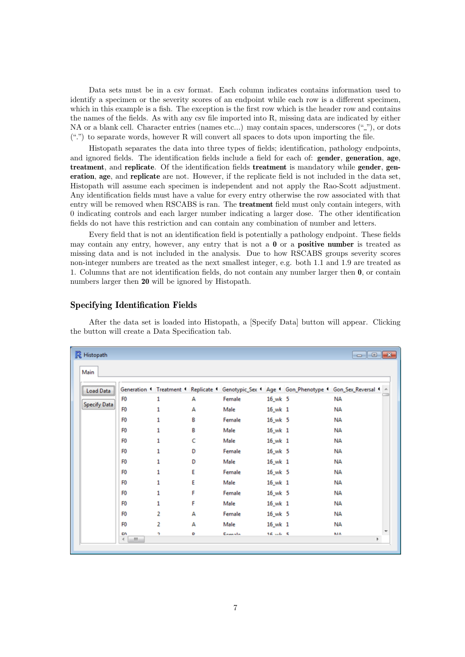Data sets must be in a csv format. Each column indicates contains information used to identify a specimen or the severity scores of an endpoint while each row is a different specimen, which in this example is a fish. The exception is the first row which is the header row and contains the names of the fields. As with any csv file imported into R, missing data are indicated by either NA or a blank cell. Character entries (names etc...) may contain spaces, underscores  $(\lq$ ""), or dots (".") to separate words, however R will convert all spaces to dots upon importing the file.

Histopath separates the data into three types of fields; identification, pathology endpoints, and ignored fields. The identification fields include a field for each of: **gender**, **generation**, **age**, treatment, and replicate. Of the identification fields treatment is mandatory while gender, generation, age, and replicate are not. However, if the replicate field is not included in the data set, Histopath will assume each specimen is independent and not apply the Rao-Scott adjustment. Any identification fields must have a value for every entry otherwise the row associated with that entry will be removed when RSCABS is ran. The treatment field must only contain integers, with 0 indicating controls and each larger number indicating a larger dose. The other identification fields do not have this restriction and can contain any combination of number and letters.

Every field that is not an identification field is potentially a pathology endpoint. These fields may contain any entry, however, any entry that is not a  $\bf{0}$  or a **positive number** is treated as missing data and is not included in the analysis. Due to how RSCABS groups severity scores non-integer numbers are treated as the next smallest integer, e.g. both 1.1 and 1.9 are treated as 1. Columns that are not identification fields, do not contain any number larger then 0, or contain numbers larger then 20 will be ignored by Histopath.

#### <span id="page-6-0"></span>Specifying Identification Fields

After the data set is loaded into Histopath, a [Specify Data] button will appear. Clicking the button will create a Data Specification tab.

| <b>Load Data</b>    |                              |   |   |        |              | Generation 1 Treatment 1 Replicate 1 Genotypic_Sex 1 Age 1 Gon_Phenotype 1 Gon_Sex_Reversal 1 ^ |  |
|---------------------|------------------------------|---|---|--------|--------------|-------------------------------------------------------------------------------------------------|--|
|                     | F <sub>0</sub>               | 1 | А | Female | $16$ wk 5    | <b>NA</b>                                                                                       |  |
| <b>Specify Data</b> | F <sub>0</sub>               | 1 | А | Male   | $16$ wk $1$  | <b>NA</b>                                                                                       |  |
|                     | F <sub>0</sub>               | 1 | в | Female | $16$ wk 5    | <b>NA</b>                                                                                       |  |
|                     | F <sub>0</sub>               | 1 | в | Male   | $16$ wk $1$  | <b>NA</b>                                                                                       |  |
|                     | F <sub>0</sub>               | 1 | c | Male   | $16$ wk $1$  | <b>NA</b>                                                                                       |  |
|                     | F <sub>0</sub>               | 1 | D | Female | $16$ wk 5    | <b>NA</b>                                                                                       |  |
|                     | F <sub>0</sub>               | 1 | D | Male   | $16$ wk $1$  | <b>NA</b>                                                                                       |  |
|                     | F <sub>0</sub>               | 1 | Ε | Female | $16$ wk 5    | <b>NA</b>                                                                                       |  |
|                     | F <sub>0</sub>               | 1 | Ε | Male   | $16$ wk $1$  | <b>NA</b>                                                                                       |  |
|                     | F <sub>0</sub>               | 1 | F | Female | $16$ wk 5    | <b>NA</b>                                                                                       |  |
|                     | F <sub>0</sub>               | 1 | F | Male   | $16$ wk $1$  | <b>NA</b>                                                                                       |  |
|                     | F <sub>0</sub>               | 2 | А | Female | $16$ wk 5    | <b>NA</b>                                                                                       |  |
|                     | F <sub>0</sub>               | 2 | А | Male   | $16_w k$ 1   | <b>NA</b>                                                                                       |  |
|                     | <b>CA</b><br>$\epsilon$<br>m | h | D | Enmala | $16$ and $5$ | <b>MA</b>                                                                                       |  |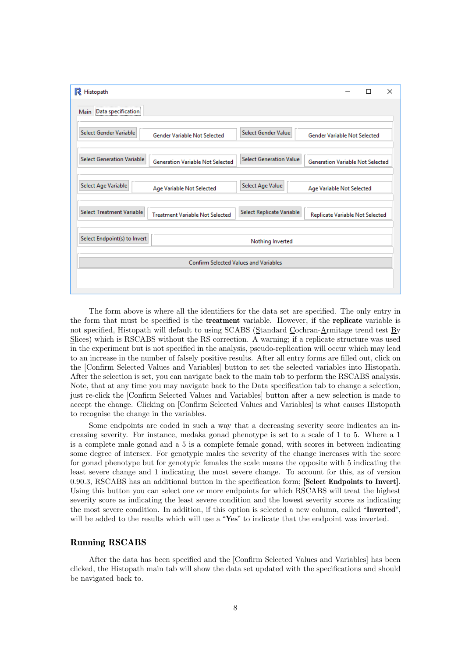| <b>R</b> Histopath                                                                               |                                         | × |
|--------------------------------------------------------------------------------------------------|-----------------------------------------|---|
| Main Data specification                                                                          |                                         |   |
|                                                                                                  |                                         |   |
| Select Gender Variable<br>Select Gender Value<br><b>Gender Variable Not Selected</b>             | <b>Gender Variable Not Selected</b>     |   |
| <b>Select Generation Variable</b><br><b>Select Generation Value</b>                              |                                         |   |
| <b>Generation Variable Not Selected</b>                                                          | <b>Generation Variable Not Selected</b> |   |
| Select Age Variable<br>Select Age Value                                                          |                                         |   |
| Age Variable Not Selected                                                                        | Age Variable Not Selected               |   |
| Select Treatment Variable<br>Select Replicate Variable<br><b>Treatment Variable Not Selected</b> | Replicate Variable Not Selected         |   |
|                                                                                                  |                                         |   |
| Select Endpoint(s) to Invert<br>Nothing Inverted                                                 |                                         |   |
| <b>Confirm Selected Values and Variables</b>                                                     |                                         |   |
|                                                                                                  |                                         |   |
|                                                                                                  |                                         |   |

The form above is where all the identifiers for the data set are specified. The only entry in the form that must be specified is the treatment variable. However, if the replicate variable is not specified, Histopath will default to using SCABS (Standard Cochran-Armitage trend test By Slices) which is RSCABS without the RS correction. A warning; if a replicate structure was used in the experiment but is not specified in the analysis, pseudo-replication will occur which may lead to an increase in the number of falsely positive results. After all entry forms are filled out, click on the [Confirm Selected Values and Variables] button to set the selected variables into Histopath. After the selection is set, you can navigate back to the main tab to perform the RSCABS analysis. Note, that at any time you may navigate back to the Data specification tab to change a selection, just re-click the [Confirm Selected Values and Variables] button after a new selection is made to accept the change. Clicking on [Confirm Selected Values and Variables] is what causes Histopath to recognise the change in the variables.

Some endpoints are coded in such a way that a decreasing severity score indicates an increasing severity. For instance, medaka gonad phenotype is set to a scale of 1 to 5. Where a 1 is a complete male gonad and a 5 is a complete female gonad, with scores in between indicating some degree of intersex. For genotypic males the severity of the change increases with the score for gonad phenotype but for genotypic females the scale means the opposite with 5 indicating the least severe change and 1 indicating the most severe change. To account for this, as of version 0.90.3, RSCABS has an additional button in the specification form; [Select Endpoints to Invert]. Using this button you can select one or more endpoints for which RSCABS will treat the highest severity score as indicating the least severe condition and the lowest severity scores as indicating the most severe condition. In addition, if this option is selected a new column, called "Inverted", will be added to the results which will use a "Yes" to indicate that the endpoint was inverted.

#### <span id="page-7-0"></span>Running RSCABS

After the data has been specified and the [Confirm Selected Values and Variables] has been clicked, the Histopath main tab will show the data set updated with the specifications and should be navigated back to.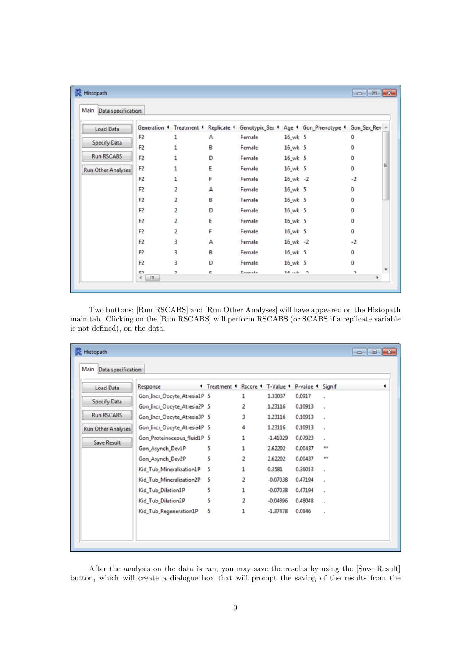| <b>R</b> Histopath        |                               |          |   |        |              |                                                                                          | $\begin{array}{c c c c c} \hline \multicolumn{3}{c }{\mathbf{.}} & \multicolumn{3}{c }{\mathbf{.}} \\ \multicolumn{3}{c }{\mathbf{.}} & \multicolumn{3}{c }{\mathbf{.}} \\ \multicolumn{3}{c }{\mathbf{.}} & \multicolumn{3}{c }{\mathbf{.}} \\ \multicolumn{3}{c }{\mathbf{.}} & \multicolumn{3}{c }{\mathbf{.}} \\ \multicolumn{3}{c }{\mathbf{.}} & \multicolumn{3}{c }{\mathbf{.}} \\ \multicolumn{3}{c }{\mathbf{.}} & \multicolumn{3}{c }{\mathbf{.$ |  |
|---------------------------|-------------------------------|----------|---|--------|--------------|------------------------------------------------------------------------------------------|------------------------------------------------------------------------------------------------------------------------------------------------------------------------------------------------------------------------------------------------------------------------------------------------------------------------------------------------------------------------------------------------------------------------------------------------------------|--|
| Main Data specification   |                               |          |   |        |              |                                                                                          |                                                                                                                                                                                                                                                                                                                                                                                                                                                            |  |
| <b>Load Data</b>          |                               |          |   |        |              | Generation 1 Treatment 1 Replicate 1 Genotypic_Sex 1 Age 1 Gon_Phenotype 1 Gon_Sex_Rev - |                                                                                                                                                                                                                                                                                                                                                                                                                                                            |  |
|                           | F <sub>2</sub>                | 1        | А | Female | $16_wk$ 5    |                                                                                          | 0                                                                                                                                                                                                                                                                                                                                                                                                                                                          |  |
| <b>Specify Data</b>       | F <sub>2</sub>                | 1        | в | Female | $16_wk$ 5    |                                                                                          | 0                                                                                                                                                                                                                                                                                                                                                                                                                                                          |  |
| <b>Run RSCABS</b>         | F <sub>2</sub>                |          | D | Female | $16_wk$ 5    |                                                                                          | Ō                                                                                                                                                                                                                                                                                                                                                                                                                                                          |  |
| <b>Run Other Analyses</b> | F <sub>2</sub>                |          | F | Female | $16_wk$ 5    |                                                                                          | 0                                                                                                                                                                                                                                                                                                                                                                                                                                                          |  |
|                           | F <sub>2</sub>                | 1        | F | Female | $16_wk -2$   |                                                                                          | $-2$                                                                                                                                                                                                                                                                                                                                                                                                                                                       |  |
|                           | F <sub>2</sub>                | 2        | А | Female | $16_wk$ 5    |                                                                                          | 0                                                                                                                                                                                                                                                                                                                                                                                                                                                          |  |
|                           | F <sub>2</sub>                | 2        | в | Female | $16_wk$ 5    |                                                                                          | 0                                                                                                                                                                                                                                                                                                                                                                                                                                                          |  |
|                           | F <sub>2</sub>                | 2        | D | Female | $16_wk$ 5    |                                                                                          | 0                                                                                                                                                                                                                                                                                                                                                                                                                                                          |  |
|                           | F <sub>2</sub>                | 2        | E | Female | $16_wk$ 5    |                                                                                          | 0                                                                                                                                                                                                                                                                                                                                                                                                                                                          |  |
|                           | F <sub>2</sub>                | 2        | F | Female | 16_wk 5      |                                                                                          | 0                                                                                                                                                                                                                                                                                                                                                                                                                                                          |  |
|                           | F <sub>2</sub>                | 3        | А | Female | $16$ wk $-2$ |                                                                                          | $-2$                                                                                                                                                                                                                                                                                                                                                                                                                                                       |  |
|                           | F <sub>2</sub>                | 3        | в | Female | $16_wk$ 5    |                                                                                          | 0                                                                                                                                                                                                                                                                                                                                                                                                                                                          |  |
|                           | F <sub>2</sub>                | 3        | D | Female | $16_wk$ 5    |                                                                                          | 0                                                                                                                                                                                                                                                                                                                                                                                                                                                          |  |
|                           | <b>CD</b><br>m.<br>$\epsilon$ | <b>D</b> | с | Enmala | $16.44 - 2$  |                                                                                          | ÷,                                                                                                                                                                                                                                                                                                                                                                                                                                                         |  |

Two buttons; [Run RSCABS] and [Run Other Analyses] will have appeared on the Histopath main tab. Clicking on the [Run RSCABS] will perform RSCABS (or SCABS if a replicate variable is not defined), on the data.

<span id="page-8-0"></span>

| <b>Load Data</b>          | Response                    | <sup>1</sup> Treatment <sup>1</sup> Rscore <sup>1</sup> T-Value <sup>1</sup> P-value <sup>1</sup> Signif |   |            |         |    |  |
|---------------------------|-----------------------------|----------------------------------------------------------------------------------------------------------|---|------------|---------|----|--|
| <b>Specify Data</b>       | Gon_Incr_Oocyte_Atresia1P 5 |                                                                                                          | 1 | 1.33037    | 0.0917  |    |  |
|                           | Gon_Incr_Oocyte_Atresia2P 5 |                                                                                                          | 2 | 1.23116    | 0.10913 | ×  |  |
| <b>Run RSCABS</b>         | Gon_Incr_Oocyte_Atresia3P 5 |                                                                                                          | 3 | 1.23116    | 0.10913 |    |  |
| <b>Run Other Analyses</b> | Gon_Incr_Oocyte_Atresia4P 5 |                                                                                                          | 4 | 1.23116    | 0.10913 |    |  |
|                           | Gon_Proteinaceous_fluid1P 5 |                                                                                                          | 1 | $-1.41029$ | 0.07923 |    |  |
| <b>Save Result</b>        | Gon_Asynch_Dev1P            | 5                                                                                                        | 1 | 2.62202    | 0.00437 | ** |  |
|                           | Gon_Asynch_Dev2P            | 5                                                                                                        | 2 | 2.62202    | 0.00437 | ** |  |
|                           | Kid_Tub_Mineralization1P    | 5                                                                                                        | 1 | 0.3581     | 0.36013 | ×  |  |
|                           | Kid_Tub_Mineralization2P    | 5                                                                                                        | 2 | $-0.07038$ | 0.47194 | ×  |  |
|                           | Kid_Tub_Dilation1P          | 5                                                                                                        | 1 | $-0.07038$ | 0.47194 | ×  |  |
|                           | Kid Tub Dilation2P          | 5                                                                                                        | 2 | $-0.04896$ | 0.48048 | ×  |  |
|                           | Kid_Tub_Regeneration1P      | 5                                                                                                        | 1 | $-1.37478$ | 0.0846  | ×  |  |

After the analysis on the data is ran, you may save the results by using the [Save Result] button, which will create a dialogue box that will prompt the saving of the results from the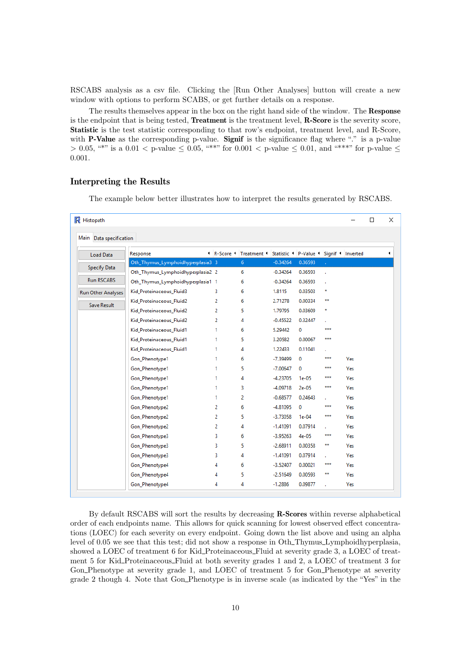RSCABS analysis as a csv file. Clicking the [Run Other Analyses] button will create a new window with options to perform SCABS, or get further details on a response.

The results themselves appear in the box on the right hand side of the window. The Response is the endpoint that is being tested, Treatment is the treatment level, R-Score is the severity score, Statistic is the test statistic corresponding to that row's endpoint, treatment level, and R-Score, with **P-Value** as the corresponding p-value. Signif is the significance flag where "." is a p-value  $> 0.05$ , "\*" is a 0.01 < p-value  $\leq 0.05$ , "\*\*" for 0.001 < p-value  $\leq 0.01$ , and "\*\*\*" for p-value  $\leq$ 0.001.

#### <span id="page-9-0"></span>Interpreting the Results

The example below better illustrates how to interpret the results generated by RSCABS.

| <b>R</b> Histopath      |                                   |                |                                                                 |              |             |              |            | □ | $\times$ |
|-------------------------|-----------------------------------|----------------|-----------------------------------------------------------------|--------------|-------------|--------------|------------|---|----------|
| Main Data specification |                                   |                |                                                                 |              |             |              |            |   |          |
| Load Data               | Response                          |                | 1 R-Score 1 Treatment 1 Statistic 1 P-Value 1 Signif 1 Inverted |              |             |              |            |   | ٠        |
|                         | Oth_Thymus_Lymphoidhyperplasia3 3 |                | 6 <sup>1</sup>                                                  | $-0.34264$   | 0.36593     |              |            |   |          |
| <b>Specify Data</b>     | Oth_Thymus_Lymphoidhyperplasia2 2 |                | 6                                                               | $-0.34264$   | 0.36593     |              |            |   |          |
| <b>Run RSCABS</b>       | Oth_Thymus_Lymphoidhyperplasia1 1 |                | 6                                                               | $-0.34264$   | 0.36593     |              |            |   |          |
| Run Other Analyses      | Kid_Proteinaceous_Fluid3          | 3.             | 6                                                               | 1.8115       | 0.03503     | $\star$      |            |   |          |
|                         | Kid Proteinaceous Fluid2          | 2              | 6                                                               | 2.71278      | 0.00334     | $\star\star$ |            |   |          |
|                         | Kid Proteinaceous Fluid2          | $\overline{2}$ | 5.                                                              | 1.79795      | 0.03609     | $\star$      |            |   |          |
|                         | Kid Proteinaceous Fluid2          | 2              | 4                                                               | $-0.45522$   | 0.32447     |              |            |   |          |
| Save Result             | Kid_Proteinaceous_Fluid1          | 1.             | 6                                                               | 5.29442      | 0           | ***          |            |   |          |
|                         | Kid_Proteinaceous_Fluid1          | 1.             | 5                                                               | 3.20582      | 0.00067     | ***          |            |   |          |
|                         | Kid_Proteinaceous_Fluid1          | 1.             | 4                                                               | 1.22433      | 0.11041     |              |            |   |          |
|                         | Gon_Phenotype1                    | 1.             | 6                                                               | -7.39499     | $\mathbf 0$ | ***          | Yes        |   |          |
|                         | Gon_Phenotype1                    | 1.             | 5                                                               | $-7.00647$ 0 |             | ***          | Yes        |   |          |
|                         | Gon_Phenotype1                    | 1.             | 4                                                               | $-4.23705$   | $1e-05$     | ***          | Yes        |   |          |
|                         | Gon_Phenotype1                    | 1.             | 3                                                               | $-4.09718$   | $2e-05$     | ***          | Yes        |   |          |
|                         | Gon_Phenotype1                    | 1.             | 2                                                               | $-0.68577$   | 0.24643     |              | Yes        |   |          |
|                         | Gon_Phenotype2                    | 2              | 6                                                               | $-4.81095$   | $\bf{0}$    | ***          | Yes        |   |          |
|                         | Gon_Phenotype2                    | 2              | 5.                                                              | $-3.73058$   | $1e-04$     | ***          | Yes        |   |          |
|                         | Gon_Phenotype2                    | $\overline{2}$ | 4                                                               | $-1.41091$   | 0.07914     |              | Yes        |   |          |
|                         | Gon_Phenotype3                    | 3.             | 6                                                               | $-3.95263$   | $4e-05$     | ***          | Yes        |   |          |
|                         | Gon_Phenotype3                    | 3.             | 5                                                               | $-2.68911$   | 0.00358     | **           | Yes        |   |          |
|                         | Gon_Phenotype3                    | 3.             | 4                                                               | $-1.41091$   | 0.07914     |              | Yes        |   |          |
|                         | Gon_Phenotype4                    | 4              | 6                                                               | $-3.52407$   | 0.00021     | ***          | <b>Yes</b> |   |          |
|                         | Gon_Phenotype4                    | 4              | 5                                                               | $-2.51649$   | 0.00593     | **           | Yes        |   |          |
|                         | Gon_Phenotype4                    | 4              | 4                                                               | $-1.2886$    | 0.09877     |              | Yes        |   |          |

By default RSCABS will sort the results by decreasing R-Scores within reverse alphabetical order of each endpoints name. This allows for quick scanning for lowest observed effect concentrations (LOEC) for each severity on every endpoint. Going down the list above and using an alpha level of 0.05 we see that this test; did not show a response in Oth Thymus Lymphoidhyperplasia, showed a LOEC of treatment 6 for Kid Proteinaceous Fluid at severity grade 3, a LOEC of treatment 5 for Kid Proteinaceous Fluid at both severity grades 1 and 2, a LOEC of treatment 3 for Gon Phenotype at severity grade 1, and LOEC of treatment 5 for Gon Phenotype at severity grade 2 though 4. Note that Gon Phenotype is in inverse scale (as indicated by the "Yes" in the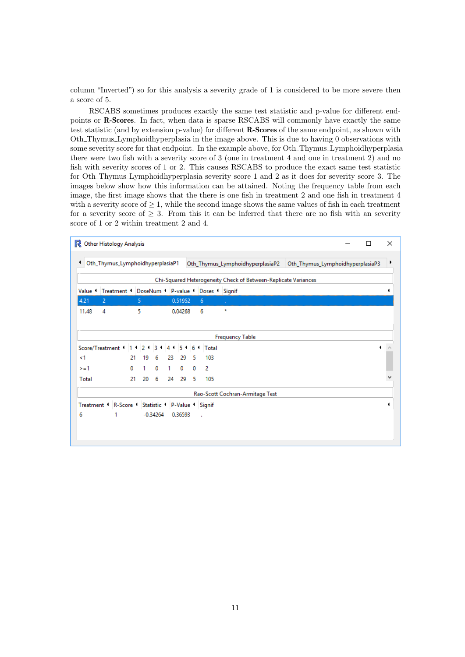column "Inverted") so for this analysis a severity grade of 1 is considered to be more severe then a score of 5.

RSCABS sometimes produces exactly the same test statistic and p-value for different endpoints or R-Scores. In fact, when data is sparse RSCABS will commonly have exactly the same test statistic (and by extension p-value) for different R-Scores of the same endpoint, as shown with Oth Thymus Lymphoidhyperplasia in the image above. This is due to having 0 observations with some severity score for that endpoint. In the example above, for Oth\_Thymus\_Lymphoidhyperplasia there were two fish with a severity score of 3 (one in treatment 4 and one in treatment 2) and no fish with severity scores of 1 or 2. This causes RSCABS to produce the exact same test statistic for Oth Thymus Lymphoidhyperplasia severity score 1 and 2 as it does for severity score 3. The images below show how this information can be attained. Noting the frequency table from each image, the first image shows that the there is one fish in treatment 2 and one fish in treatment 4 with a severity score of  $\geq 1$ , while the second image shows the same values of fish in each treatment for a severity score of  $\geq$  3. From this it can be inferred that there are no fish with an severity score of 1 or 2 within treatment 2 and 4.

| R       | Other Histology Analysis                           |              |                |                |       |         |    |              |         |                                  | п                                                              |   | × |
|---------|----------------------------------------------------|--------------|----------------|----------------|-------|---------|----|--------------|---------|----------------------------------|----------------------------------------------------------------|---|---|
| ۰       | Oth_Thymus_LymphoidhyperplasiaP1                   |              |                |                |       |         |    |              |         | Oth_Thymus_LymphoidhyperplasiaP2 | Oth_Thymus_LymphoidhyperplasiaP3                               |   | Þ |
|         |                                                    |              |                |                |       |         |    |              |         |                                  | Chi-Squared Heterogeneity Check of Between-Replicate Variances |   |   |
| Value 1 | Treatment DoseNum P-value                          |              |                |                |       |         |    | Doses Signif |         |                                  |                                                                |   | ٠ |
| 4.21    | 2                                                  |              | 5              |                |       | 0.51952 |    | 6            |         |                                  |                                                                |   |   |
| 11.48   | 4                                                  |              | 5              |                |       | 0.04268 |    | 6            | $\star$ |                                  |                                                                |   |   |
|         |                                                    |              |                |                |       |         |    |              |         |                                  |                                                                |   |   |
|         |                                                    |              |                |                |       |         |    |              |         | <b>Frequency Table</b>           |                                                                |   |   |
|         | Score/Treatment     1                              |              | 2 <sup>1</sup> | 3 <sub>1</sub> | 45161 |         |    | Total        |         |                                  |                                                                | ٠ |   |
| <1      |                                                    | 21           | 19             | 6              | 23    | 29      | -5 | 103          |         |                                  |                                                                |   |   |
| $>=1$   |                                                    | $\mathbf{0}$ | 1              | 0              | 1.    | 0       | 0  | 2            |         |                                  |                                                                |   |   |
| Total   |                                                    | 21           | 20             | 6              | 24    | 29      | -5 | 105          |         |                                  |                                                                |   |   |
|         |                                                    |              |                |                |       |         |    |              |         | Rao-Scott Cochran-Armitage Test  |                                                                |   |   |
|         | Treatment   R-Score   Statistic   P-Value   Signif |              |                |                |       |         |    |              |         |                                  |                                                                |   | 4 |
| 6       | 1                                                  |              |                | $-0.34264$     |       | 0.36593 |    | $\mathbf{r}$ |         |                                  |                                                                |   |   |
|         |                                                    |              |                |                |       |         |    |              |         |                                  |                                                                |   |   |
|         |                                                    |              |                |                |       |         |    |              |         |                                  |                                                                |   |   |
|         |                                                    |              |                |                |       |         |    |              |         |                                  |                                                                |   |   |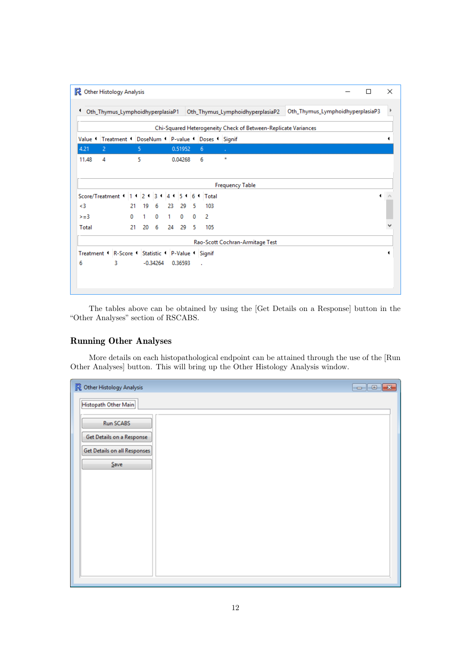| п | Oth_Thymus_LymphoidhyperplasiaP3 |  |  |                                                                |  |  |                                  |                        |    |         |             |   |   |         |    |            |    |   |    |                                            |   |   | R Other Histology Analysis                         |       |
|---|----------------------------------|--|--|----------------------------------------------------------------|--|--|----------------------------------|------------------------|----|---------|-------------|---|---|---------|----|------------|----|---|----|--------------------------------------------|---|---|----------------------------------------------------|-------|
|   |                                  |  |  |                                                                |  |  |                                  |                        |    |         |             |   |   |         |    |            |    |   |    |                                            |   |   |                                                    |       |
|   |                                  |  |  |                                                                |  |  |                                  |                        |    |         |             |   |   |         |    |            |    |   |    |                                            |   |   |                                                    |       |
|   |                                  |  |  |                                                                |  |  | Oth_Thymus_LymphoidhyperplasiaP2 |                        |    |         |             |   |   |         |    |            |    |   |    |                                            |   |   | Oth_Thymus_LymphoidhyperplasiaP1                   |       |
|   |                                  |  |  | Chi-Squared Heterogeneity Check of Between-Replicate Variances |  |  |                                  |                        |    |         |             |   |   |         |    |            |    |   |    |                                            |   |   |                                                    |       |
|   |                                  |  |  |                                                                |  |  |                                  |                        |    |         |             |   |   |         |    |            |    |   |    | Treatment CDoseNum CP-value CDoses CSignif |   |   | Value 1                                            |       |
|   |                                  |  |  |                                                                |  |  |                                  |                        | v. |         |             | 6 |   | 0.51952 |    |            |    | 5 |    |                                            |   | 2 |                                                    | 4.21  |
|   |                                  |  |  |                                                                |  |  |                                  |                        |    | $\star$ |             | 6 |   | 0.04268 |    |            |    | 5 |    |                                            |   | 4 |                                                    | 11.48 |
|   |                                  |  |  |                                                                |  |  |                                  |                        |    |         |             |   |   |         |    |            |    |   |    |                                            |   |   |                                                    |       |
|   |                                  |  |  |                                                                |  |  |                                  | <b>Frequency Table</b> |    |         |             |   |   |         |    |            |    |   |    |                                            |   |   |                                                    |       |
| ٠ |                                  |  |  |                                                                |  |  |                                  |                        |    |         |             |   |   |         |    |            |    |   |    |                                            |   |   |                                                    |       |
|   |                                  |  |  |                                                                |  |  |                                  |                        |    |         | 4 5 6 Total |   |   |         |    |            |    |   |    |                                            |   |   | Score/Treatment 1 1 2 1 3 1                        |       |
|   |                                  |  |  |                                                                |  |  |                                  |                        |    |         | 103         |   | 5 | 29      | 23 | 6          | 19 |   | 21 |                                            |   |   |                                                    | <3    |
|   |                                  |  |  |                                                                |  |  |                                  |                        |    |         |             | 2 | 0 | 0       | 1  | 0          | 1  |   | 0  |                                            |   |   |                                                    | $>=3$ |
|   |                                  |  |  |                                                                |  |  |                                  |                        |    |         | 105         |   | 5 | 29      | 24 | 6          | 20 |   | 21 |                                            |   |   |                                                    | Total |
|   |                                  |  |  |                                                                |  |  | Rao-Scott Cochran-Armitage Test  |                        |    |         |             |   |   |         |    |            |    |   |    |                                            |   |   |                                                    |       |
|   |                                  |  |  |                                                                |  |  |                                  |                        |    |         |             |   |   |         |    |            |    |   |    |                                            |   |   | Treatment 1 R-Score 1 Statistic 1 P-Value 1 Signif |       |
|   |                                  |  |  |                                                                |  |  |                                  |                        |    |         |             | ÷ |   | 0.36593 |    | $-0.34264$ |    |   |    |                                            | 3 |   |                                                    | 6     |
|   |                                  |  |  |                                                                |  |  |                                  |                        |    |         |             |   |   |         |    |            |    |   |    |                                            |   |   |                                                    |       |
|   |                                  |  |  |                                                                |  |  |                                  |                        |    |         |             |   |   |         |    |            |    |   |    |                                            |   |   |                                                    |       |

The tables above can be obtained by using the [Get Details on a Response] button in the "Other Analyses" section of RSCABS.

# <span id="page-11-0"></span>Running Other Analyses

More details on each histopathological endpoint can be attained through the use of the [Run Other Analyses] button. This will bring up the Other Histology Analysis window.

| R Other Histology Analysis          |  |
|-------------------------------------|--|
| Histopath Other Main                |  |
| <b>Run SCABS</b>                    |  |
| Get Details on a Response           |  |
| <b>Get Details on all Responses</b> |  |
| $S$ ave                             |  |
|                                     |  |
|                                     |  |
|                                     |  |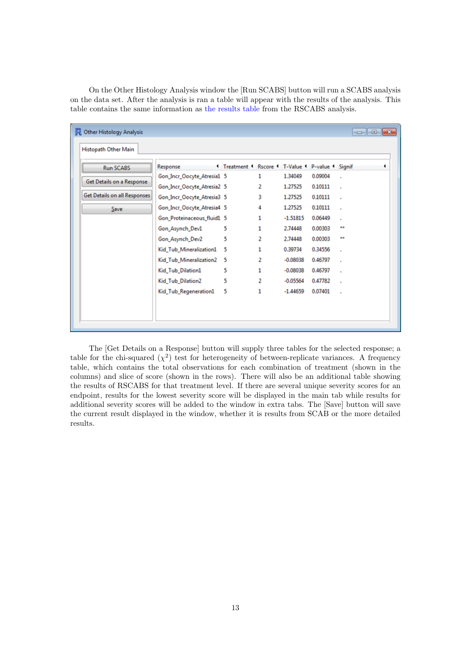On the Other Histology Analysis window the [Run SCABS] button will run a SCABS analysis on the data set. After the analysis is ran a table will appear with the results of the analysis. This table contains the same information as [the results table](#page-8-0) from the RSCABS analysis.

| <b>Run SCABS</b>                    | Response                   | <sup>4</sup> Treatment <sup>4</sup> Rscore <sup>4</sup> T-Value <sup>4</sup> P-value <sup>4</sup> Signif |              |            |         |              |  |
|-------------------------------------|----------------------------|----------------------------------------------------------------------------------------------------------|--------------|------------|---------|--------------|--|
| Get Details on a Response           | Gon_Incr_Oocyte_Atresia1 5 |                                                                                                          | 1            | 1.34049    | 0.09004 |              |  |
|                                     | Gon_Incr_Oocyte_Atresia2 5 |                                                                                                          | 2            | 1.27525    | 0.10111 | $\mathbf{r}$ |  |
| <b>Get Details on all Responses</b> | Gon_Incr_Oocyte_Atresia3 5 |                                                                                                          | 3            | 1.27525    | 0.10111 | ×            |  |
| Save                                | Gon_Incr_Oocyte_Atresia4 5 |                                                                                                          | 4            | 1.27525    | 0.10111 | ×            |  |
|                                     | Gon_Proteinaceous_fluid1 5 |                                                                                                          | $\mathbf{1}$ | $-1.51815$ | 0.06449 |              |  |
|                                     | Gon_Asynch_Dev1            | 5                                                                                                        | 1            | 2.74448    | 0.00303 | **           |  |
|                                     | Gon_Asynch_Dev2            | 5                                                                                                        | 2            | 2.74448    | 0.00303 |              |  |
|                                     | Kid_Tub_Mineralization1    | 5                                                                                                        | 1            | 0.39734    | 0.34556 | ×            |  |
|                                     | Kid_Tub_Mineralization2    | 5                                                                                                        | 2            | $-0.08038$ | 0.46797 |              |  |
|                                     | Kid_Tub_Dilation1          | 5                                                                                                        | 1            | $-0.08038$ | 0.46797 |              |  |
|                                     | Kid_Tub_Dilation2          | 5                                                                                                        | 2            | $-0.05564$ | 0.47782 |              |  |
|                                     | Kid_Tub_Regeneration1      | 5                                                                                                        | 1            | $-1.44659$ | 0.07401 |              |  |

The [Get Details on a Response] button will supply three tables for the selected response; a table for the chi-squared  $(\chi^2)$  test for heterogeneity of between-replicate variances. A frequency table, which contains the total observations for each combination of treatment (shown in the columns) and slice of score (shown in the rows). There will also be an additional table showing the results of RSCABS for that treatment level. If there are several unique severity scores for an endpoint, results for the lowest severity score will be displayed in the main tab while results for additional severity scores will be added to the window in extra tabs. The [Save] button will save the current result displayed in the window, whether it is results from SCAB or the more detailed results.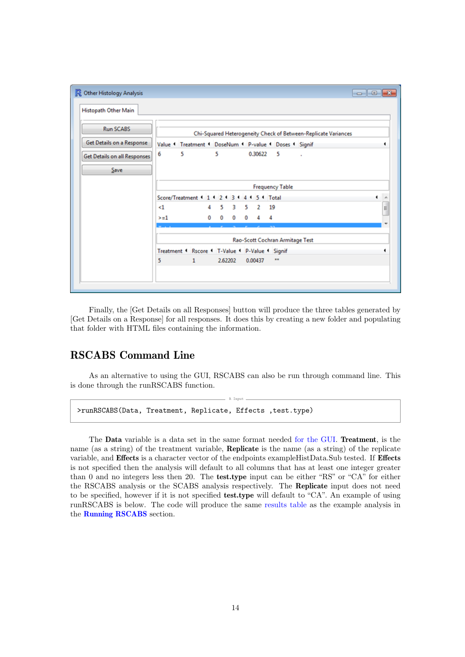| Histopath Other Main                |                                                                |   |
|-------------------------------------|----------------------------------------------------------------|---|
| <b>Run SCABS</b>                    | Chi-Squared Heterogeneity Check of Between-Replicate Variances |   |
| Get Details on a Response           | Value Creatment CoseNum CP-value CDoses CSignif                |   |
| <b>Get Details on all Responses</b> | 5<br>6<br>5<br>0.30622<br>5<br>à.                              |   |
| Save                                |                                                                |   |
|                                     | <b>Frequency Table</b>                                         |   |
|                                     | Score/Treatment 1 1 1 2 1 3 1<br>5 <sup>4</sup> Total<br>4 1   | ۸ |
|                                     | 3<br>5<br>$<$ 1<br>5<br>$\overline{2}$<br>19<br>4              | 4 |
|                                     | 0<br>0<br>0<br>0<br>4<br>$>=1$<br>4                            |   |
|                                     |                                                                |   |
|                                     | Rao-Scott Cochran Armitage Test                                |   |
|                                     | Treatment ' Rscore ' T-Value ' P-Value ' Signif                | ٠ |
|                                     | 2.62202<br>0.00437<br>$\bullet\bullet$<br>5.<br>$\mathbf{1}$   |   |

Finally, the [Get Details on all Responses] button will produce the three tables generated by [Get Details on a Response] for all responses. It does this by creating a new folder and populating that folder with HTML files containing the information.

# <span id="page-13-0"></span>RSCABS Command Line

As an alternative to using the GUI, RSCABS can also be run through command line. This is done through the runRSCABS function.

R Input

>runRSCABS(Data, Treatment, Replicate, Effects , test.type)

The Data variable is a data set in the same format needed [for the GUI.](#page-4-0) Treatment, is the name (as a string) of the treatment variable, Replicate is the name (as a string) of the replicate variable, and Effects is a character vector of the endpoints exampleHistData.Sub tested. If Effects is not specified then the analysis will default to all columns that has at least one integer greater than 0 and no integers less then 20. The test.type input can be either "RS" or "CA" for either the RSCABS analysis or the SCABS analysis respectively. The Replicate input does not need to be specified, however if it is not specified test.type will default to "CA". An example of using runRSCABS is below. The code will produce the same [results table](#page-8-0) as the example analysis in the [Running RSCABS](#page-7-0) section.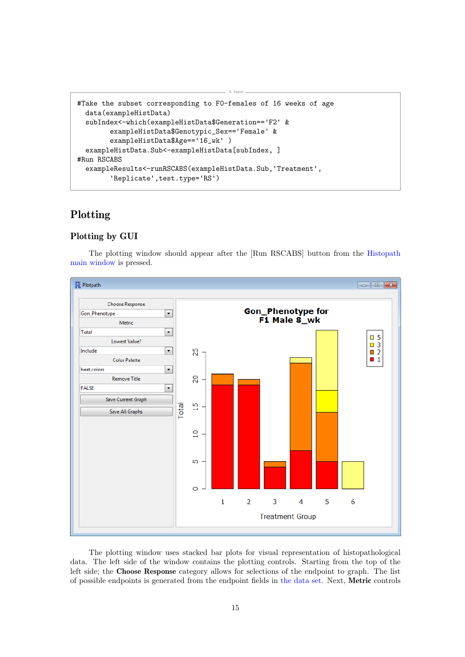```
#Take the subset corresponding to F0-females of 16 weeks of age
  data(exampleHistData)
  subIndex<-which(exampleHistData$Generation=='F2' &
        exampleHistData$Genotypic_Sex=='Female' &
        exampleHistData$Age=='16_wk' )
  exampleHistData.Sub<-exampleHistData[subIndex, ]
#Run RSCABS
  exampleResults<-runRSCABS(exampleHistData.Sub,'Treatment',
        'Replicate',test.type='RS')
```
# <span id="page-14-0"></span>Plotting

#### <span id="page-14-1"></span>Plotting by GUI

The plotting window should appear after the [Run RSCABS] button from the [Histopath](#page-7-0) [main window](#page-7-0) is pressed.

R Input



<span id="page-14-2"></span>The plotting window uses stacked bar plots for visual representation of histopathological data. The left side of the window contains the plotting controls. Starting from the top of the left side; the Choose Response category allows for selections of the endpoint to graph. The list of possible endpoints is generated from the endpoint fields in [the data set.](#page-5-0) Next, Metric controls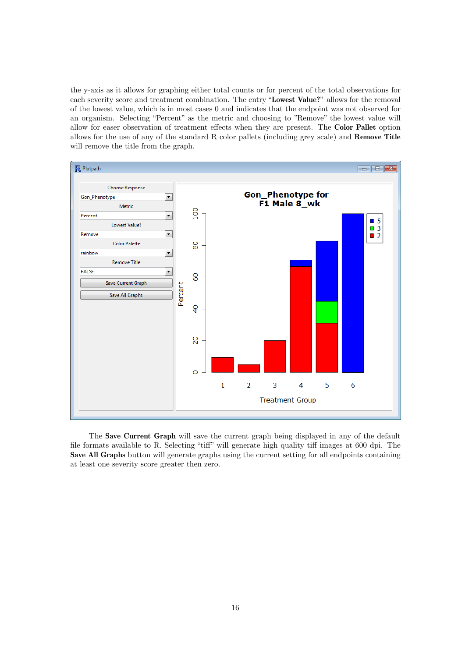the y-axis as it allows for graphing either total counts or for percent of the total observations for each severity score and treatment combination. The entry "Lowest Value?" allows for the removal of the lowest value, which is in most cases 0 and indicates that the endpoint was not observed for an organism. Selecting "Percent" as the metric and choosing to "Remove" the lowest value will allow for easer observation of treatment effects when they are present. The Color Pallet option allows for the use of any of the standard R color pallets (including grey scale) and Remove Title will remove the title from the graph.



<span id="page-15-0"></span>The Save Current Graph will save the current graph being displayed in any of the default file formats available to R. Selecting "tiff" will generate high quality tiff images at 600 dpi. The Save All Graphs button will generate graphs using the current setting for all endpoints containing at least one severity score greater then zero.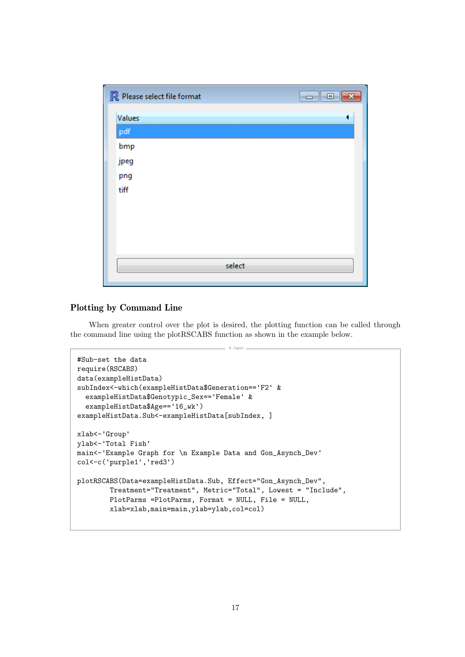| R Please select file format |  |
|-----------------------------|--|
| Values                      |  |
| pdf<br>bmp                  |  |
| jpeg                        |  |
| png                         |  |
| tiff                        |  |
|                             |  |
|                             |  |
|                             |  |
| select                      |  |
|                             |  |

#### <span id="page-16-0"></span>Plotting by Command Line

When greater control over the plot is desired, the plotting function can be called through the command line using the plotRSCABS function as shown in the example below.

R Input -

```
#Sub-set the data
require(RSCABS)
data(exampleHistData)
subIndex<-which(exampleHistData$Generation=='F2' &
  exampleHistData$Genotypic_Sex=='Female' &
  exampleHistData$Age=='16_wk')
exampleHistData.Sub<-exampleHistData[subIndex, ]
xlab<-'Group'
ylab<-'Total Fish'
main<-'Example Graph for \n Example Data and Gon_Asynch_Dev'
col<-c('purple1','red3')
plotRSCABS(Data=exampleHistData.Sub, Effect="Gon_Asynch_Dev",
        Treatment="Treatment", Metric="Total", Lowest = "Include",
        PlotParms =PlotParms, Format = NULL, File = NULL,
        xlab=xlab,main=main,ylab=ylab,col=col)
```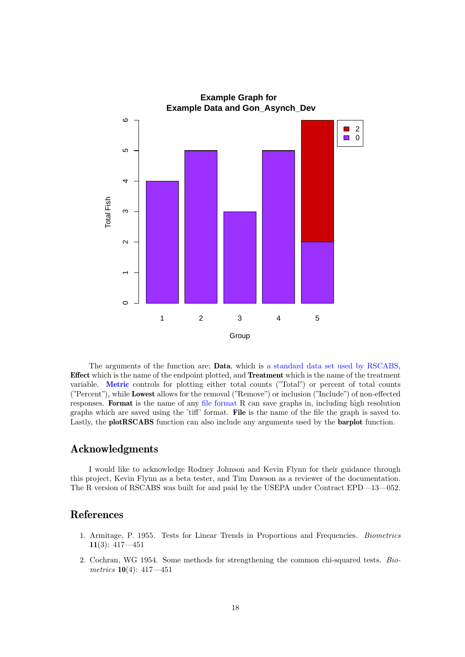

The arguments of the function are; Data, which is [a standard data set used by RSCABS,](#page-4-0) Effect which is the name of the endpoint plotted, and Treatment which is the name of the treatment variable. [Metric](#page-14-2) controls for plotting either total counts ("Total") or percent of total counts ("Percent"), while Lowest allows for the removal ("Remove") or inclusion ("Include") of non-effected responses. Format is the name of any [file format](#page-15-0) R can save graphs in, including high resolution graphs which are saved using the 'tiff' format. File is the name of the file the graph is saved to. Lastly, the plotRSCABS function can also include any arguments used by the barplot function.

## <span id="page-17-0"></span>Acknowledgments

I would like to acknowledge Rodney Johnson and Kevin Flynn for their guidance through this project, Kevin Flynn as a beta tester, and Tim Dawson as a reviewer of the documentation. The R version of RSCABS was built for and paid by the USEPA under Contract EPD—13—052.

## <span id="page-17-1"></span>References

- 1. Armitage, P. 1955. Tests for Linear Trends in Proportions and Frequencies. Biometrics 11(3): 417—451
- 2. Cochran, WG 1954. Some methods for strengthening the common chi-squared tests. Biometrics 10(4): 417—451